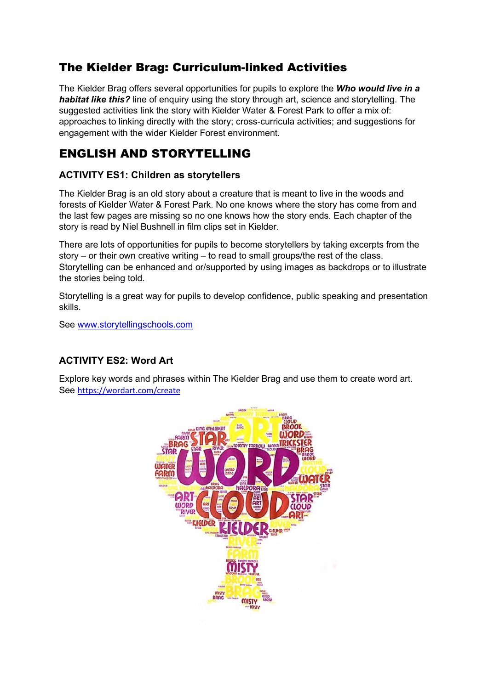# The Kielder Brag: Curriculum-linked Activities

The Kielder Brag offers several opportunities for pupils to explore the Who would live in a habitat like this? line of enquiry using the story through art, science and storytelling. The suggested activities link the story with Kielder Water & Forest Park to offer a mix of: approaches to linking directly with the story; cross-curricula activities; and suggestions for engagement with the wider Kielder Forest environment.

## ENGLISH AND STORYTELLING

### ACTIVITY ES1: Children as storytellers

The Kielder Brag is an old story about a creature that is meant to live in the woods and forests of Kielder Water & Forest Park. No one knows where the story has come from and the last few pages are missing so no one knows how the story ends. Each chapter of the story is read by Niel Bushnell in film clips set in Kielder.

There are lots of opportunities for pupils to become storytellers by taking excerpts from the story – or their own creative writing – to read to small groups/the rest of the class. Storytelling can be enhanced and or/supported by using images as backdrops or to illustrate the stories being told.

Storytelling is a great way for pupils to develop confidence, public speaking and presentation skills.

See www.storytellingschools.com

### ACTIVITY ES2: Word Art

Explore key words and phrases within The Kielder Brag and use them to create word art. See https://wordart.com/create

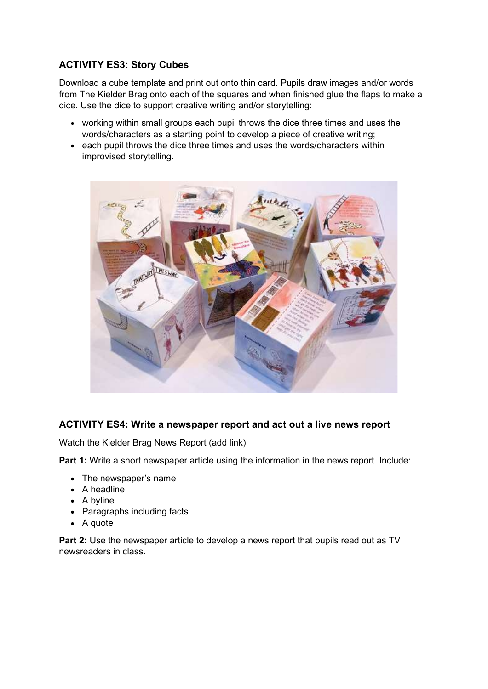### ACTIVITY ES3: Story Cubes

Download a cube template and print out onto thin card. Pupils draw images and/or words from The Kielder Brag onto each of the squares and when finished glue the flaps to make a dice. Use the dice to support creative writing and/or storytelling:

- working within small groups each pupil throws the dice three times and uses the words/characters as a starting point to develop a piece of creative writing;
- each pupil throws the dice three times and uses the words/characters within improvised storytelling.



### ACTIVITY ES4: Write a newspaper report and act out a live news report

Watch the Kielder Brag News Report (add link)

Part 1: Write a short newspaper article using the information in the news report. Include:

- The newspaper's name
- A headline
- A byline
- Paragraphs including facts
- A quote

Part 2: Use the newspaper article to develop a news report that pupils read out as TV newsreaders in class.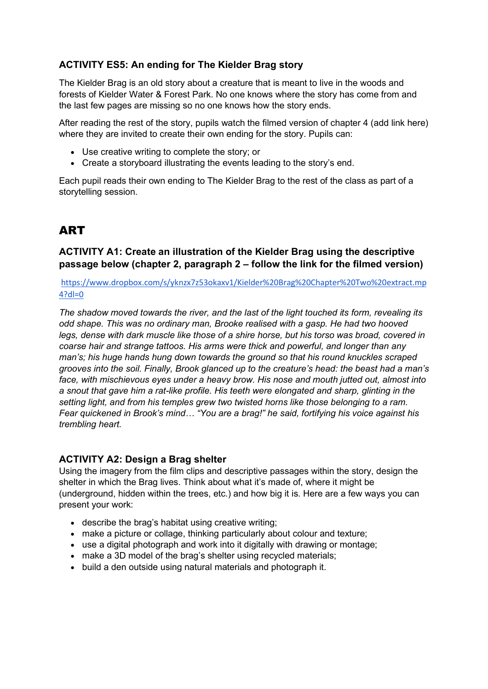### ACTIVITY ES5: An ending for The Kielder Brag story

The Kielder Brag is an old story about a creature that is meant to live in the woods and forests of Kielder Water & Forest Park. No one knows where the story has come from and the last few pages are missing so no one knows how the story ends.

After reading the rest of the story, pupils watch the filmed version of chapter 4 (add link here) where they are invited to create their own ending for the story. Pupils can:

- Use creative writing to complete the story; or
- Create a storyboard illustrating the events leading to the story's end.

Each pupil reads their own ending to The Kielder Brag to the rest of the class as part of a storytelling session.

# ART

### ACTIVITY A1: Create an illustration of the Kielder Brag using the descriptive passage below (chapter 2, paragraph 2 – follow the link for the filmed version)

#### https://www.dropbox.com/s/yknzx7z53okaxv1/Kielder%20Brag%20Chapter%20Two%20extract.mp 4?dl=0

The shadow moved towards the river, and the last of the light touched its form, revealing its odd shape. This was no ordinary man, Brooke realised with a gasp. He had two hooved legs, dense with dark muscle like those of a shire horse, but his torso was broad, covered in coarse hair and strange tattoos. His arms were thick and powerful, and longer than any man's; his huge hands hung down towards the ground so that his round knuckles scraped grooves into the soil. Finally, Brook glanced up to the creature's head: the beast had a man's face, with mischievous eyes under a heavy brow. His nose and mouth jutted out, almost into a snout that gave him a rat-like profile. His teeth were elongated and sharp, glinting in the setting light, and from his temples grew two twisted horns like those belonging to a ram. Fear quickened in Brook's mind… "You are a brag!" he said, fortifying his voice against his trembling heart.

### ACTIVITY A2: Design a Brag shelter

Using the imagery from the film clips and descriptive passages within the story, design the shelter in which the Brag lives. Think about what it's made of, where it might be (underground, hidden within the trees, etc.) and how big it is. Here are a few ways you can present your work:

- describe the brag's habitat using creative writing;
- make a picture or collage, thinking particularly about colour and texture;
- use a digital photograph and work into it digitally with drawing or montage;
- make a 3D model of the brag's shelter using recycled materials;
- build a den outside using natural materials and photograph it.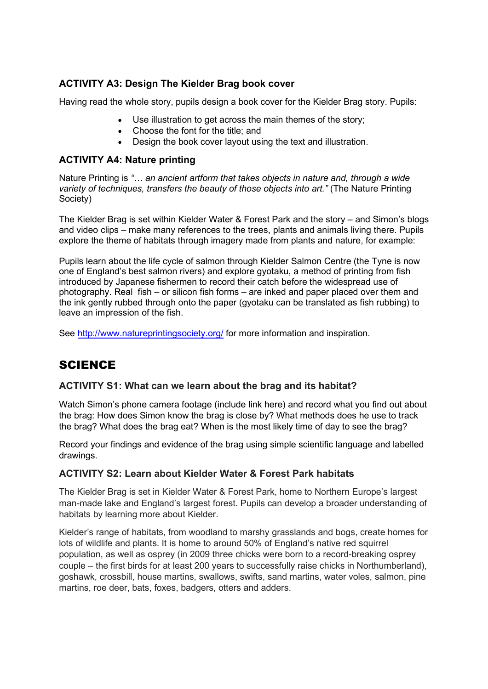### ACTIVITY A3: Design The Kielder Brag book cover

Having read the whole story, pupils design a book cover for the Kielder Brag story. Pupils:

- Use illustration to get across the main themes of the story;
- Choose the font for the title: and
- Design the book cover layout using the text and illustration.

#### ACTIVITY A4: Nature printing

Nature Printing is "... an ancient artform that takes objects in nature and, through a wide variety of techniques, transfers the beauty of those objects into art." (The Nature Printing Society)

The Kielder Brag is set within Kielder Water & Forest Park and the story – and Simon's blogs and video clips – make many references to the trees, plants and animals living there. Pupils explore the theme of habitats through imagery made from plants and nature, for example:

Pupils learn about the life cycle of salmon through Kielder Salmon Centre (the Tyne is now one of England's best salmon rivers) and explore gyotaku, a method of printing from fish introduced by Japanese fishermen to record their catch before the widespread use of photography. Real fish – or silicon fish forms – are inked and paper placed over them and the ink gently rubbed through onto the paper (gyotaku can be translated as fish rubbing) to leave an impression of the fish.

See http://www.natureprintingsociety.org/ for more information and inspiration.

## **SCIENCE**

#### ACTIVITY S1: What can we learn about the brag and its habitat?

Watch Simon's phone camera footage (include link here) and record what you find out about the brag: How does Simon know the brag is close by? What methods does he use to track the brag? What does the brag eat? When is the most likely time of day to see the brag?

Record your findings and evidence of the brag using simple scientific language and labelled drawings.

#### ACTIVITY S2: Learn about Kielder Water & Forest Park habitats

The Kielder Brag is set in Kielder Water & Forest Park, home to Northern Europe's largest man-made lake and England's largest forest. Pupils can develop a broader understanding of habitats by learning more about Kielder.

Kielder's range of habitats, from woodland to marshy grasslands and bogs, create homes for lots of wildlife and plants. It is home to around 50% of England's native red squirrel population, as well as osprey (in 2009 three chicks were born to a record-breaking osprey couple – the first birds for at least 200 years to successfully raise chicks in Northumberland), goshawk, crossbill, house martins, swallows, swifts, sand martins, water voles, salmon, pine martins, roe deer, bats, foxes, badgers, otters and adders.